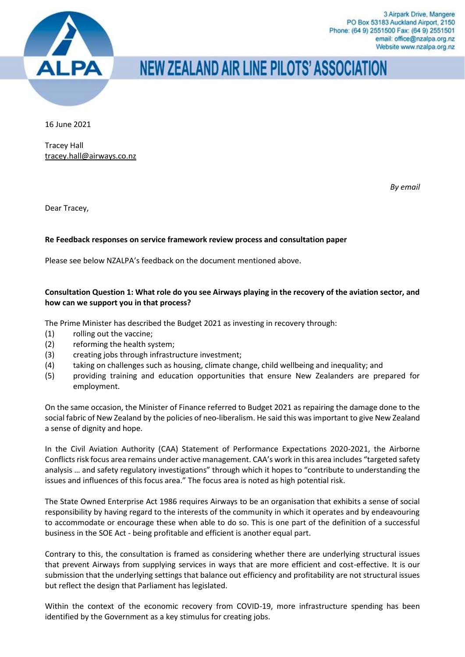

# **NEW ZEALAND AIR LINE PILOTS' ASSOCIATION**

16 June 2021

Tracey Hall [tracey.hall@airways.co.nz](mailto:tracey.hall@airways.co.nz)

*By email*

Dear Tracey,

## **Re Feedback responses on service framework review process and consultation paper**

Please see below NZALPA's feedback on the document mentioned above.

## **Consultation Question 1: What role do you see Airways playing in the recovery of the aviation sector, and how can we support you in that process?**

The Prime Minister has described the Budget 2021 as investing in recovery through:

- (1) rolling out the vaccine;
- (2) reforming the health system;
- (3) creating jobs through infrastructure investment;
- (4) taking on challenges such as housing, climate change, child wellbeing and inequality; and
- (5) providing training and education opportunities that ensure New Zealanders are prepared for employment.

On the same occasion, the Minister of Finance referred to Budget 2021 as repairing the damage done to the social fabric of New Zealand by the policies of neo-liberalism. He said this was important to give New Zealand a sense of dignity and hope.

In the Civil Aviation Authority (CAA) Statement of Performance Expectations 2020-2021, the Airborne Conflicts risk focus area remains under active management. CAA's work in this area includes "targeted safety analysis … and safety regulatory investigations" through which it hopes to "contribute to understanding the issues and influences of this focus area." The focus area is noted as high potential risk.

The State Owned Enterprise Act 1986 requires Airways to be an organisation that exhibits a sense of social responsibility by having regard to the interests of the community in which it operates and by endeavouring to accommodate or encourage these when able to do so. This is one part of the definition of a successful business in the SOE Act - being profitable and efficient is another equal part.

Contrary to this, the consultation is framed as considering whether there are underlying structural issues that prevent Airways from supplying services in ways that are more efficient and cost-effective. It is our submission that the underlying settings that balance out efficiency and profitability are not structural issues but reflect the design that Parliament has legislated.

Within the context of the economic recovery from COVID-19, more infrastructure spending has been identified by the Government as a key stimulus for creating jobs.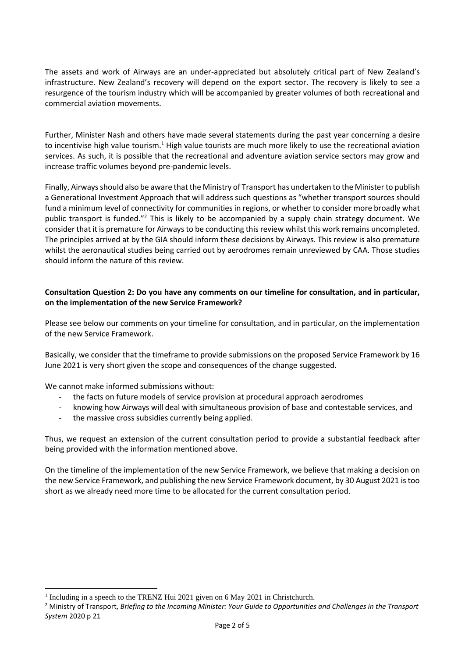The assets and work of Airways are an under-appreciated but absolutely critical part of New Zealand's infrastructure. New Zealand's recovery will depend on the export sector. The recovery is likely to see a resurgence of the tourism industry which will be accompanied by greater volumes of both recreational and commercial aviation movements.

Further, Minister Nash and others have made several statements during the past year concerning a desire to incentivise high value tourism.<sup>1</sup> High value tourists are much more likely to use the recreational aviation services. As such, it is possible that the recreational and adventure aviation service sectors may grow and increase traffic volumes beyond pre-pandemic levels.

Finally, Airways should also be aware that the Ministry of Transport has undertaken to the Minister to publish a Generational Investment Approach that will address such questions as "whether transport sources should fund a minimum level of connectivity for communities in regions, or whether to consider more broadly what public transport is funded."<sup>2</sup> This is likely to be accompanied by a supply chain strategy document. We consider that it is premature for Airways to be conducting this review whilst this work remains uncompleted. The principles arrived at by the GIA should inform these decisions by Airways. This review is also premature whilst the aeronautical studies being carried out by aerodromes remain unreviewed by CAA. Those studies should inform the nature of this review.

#### **Consultation Question 2: Do you have any comments on our timeline for consultation, and in particular, on the implementation of the new Service Framework?**

Please see below our comments on your timeline for consultation, and in particular, on the implementation of the new Service Framework.

Basically, we consider that the timeframe to provide submissions on the proposed Service Framework by 16 June 2021 is very short given the scope and consequences of the change suggested.

We cannot make informed submissions without:

- the facts on future models of service provision at procedural approach aerodromes
- knowing how Airways will deal with simultaneous provision of base and contestable services, and
- the massive cross subsidies currently being applied.

Thus, we request an extension of the current consultation period to provide a substantial feedback after being provided with the information mentioned above.

On the timeline of the implementation of the new Service Framework, we believe that making a decision on the new Service Framework, and publishing the new Service Framework document, by 30 August 2021 is too short as we already need more time to be allocated for the current consultation period.

<sup>&</sup>lt;sup>1</sup> Including in a speech to the TRENZ Hui 2021 given on 6 May 2021 in Christchurch.

<sup>2</sup> Ministry of Transport, *Briefing to the Incoming Minister: Your Guide to Opportunities and Challenges in the Transport System* 2020 p 21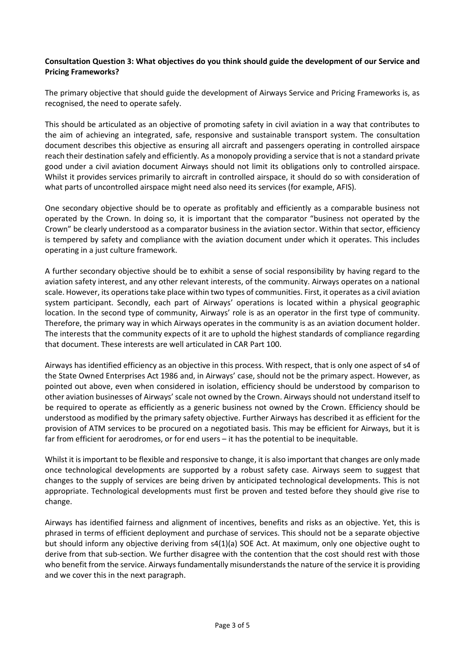#### **Consultation Question 3: What objectives do you think should guide the development of our Service and Pricing Frameworks?**

The primary objective that should guide the development of Airways Service and Pricing Frameworks is, as recognised, the need to operate safely.

This should be articulated as an objective of promoting safety in civil aviation in a way that contributes to the aim of achieving an integrated, safe, responsive and sustainable transport system. The consultation document describes this objective as ensuring all aircraft and passengers operating in controlled airspace reach their destination safely and efficiently. As a monopoly providing a service that is not a standard private good under a civil aviation document Airways should not limit its obligations only to controlled airspace. Whilst it provides services primarily to aircraft in controlled airspace, it should do so with consideration of what parts of uncontrolled airspace might need also need its services (for example, AFIS).

One secondary objective should be to operate as profitably and efficiently as a comparable business not operated by the Crown. In doing so, it is important that the comparator "business not operated by the Crown" be clearly understood as a comparator business in the aviation sector. Within that sector, efficiency is tempered by safety and compliance with the aviation document under which it operates. This includes operating in a just culture framework.

A further secondary objective should be to exhibit a sense of social responsibility by having regard to the aviation safety interest, and any other relevant interests, of the community. Airways operates on a national scale. However, its operations take place within two types of communities. First, it operates as a civil aviation system participant. Secondly, each part of Airways' operations is located within a physical geographic location. In the second type of community, Airways' role is as an operator in the first type of community. Therefore, the primary way in which Airways operates in the community is as an aviation document holder. The interests that the community expects of it are to uphold the highest standards of compliance regarding that document. These interests are well articulated in CAR Part 100.

Airways has identified efficiency as an objective in this process. With respect, that is only one aspect of s4 of the State Owned Enterprises Act 1986 and, in Airways' case, should not be the primary aspect. However, as pointed out above, even when considered in isolation, efficiency should be understood by comparison to other aviation businesses of Airways' scale not owned by the Crown. Airways should not understand itself to be required to operate as efficiently as a generic business not owned by the Crown. Efficiency should be understood as modified by the primary safety objective. Further Airways has described it as efficient for the provision of ATM services to be procured on a negotiated basis. This may be efficient for Airways, but it is far from efficient for aerodromes, or for end users – it has the potential to be inequitable.

Whilst it is important to be flexible and responsive to change, it is also important that changes are only made once technological developments are supported by a robust safety case. Airways seem to suggest that changes to the supply of services are being driven by anticipated technological developments. This is not appropriate. Technological developments must first be proven and tested before they should give rise to change.

Airways has identified fairness and alignment of incentives, benefits and risks as an objective. Yet, this is phrased in terms of efficient deployment and purchase of services. This should not be a separate objective but should inform any objective deriving from s4(1)(a) SOE Act. At maximum, only one objective ought to derive from that sub-section. We further disagree with the contention that the cost should rest with those who benefit from the service. Airways fundamentally misunderstands the nature of the service it is providing and we cover this in the next paragraph.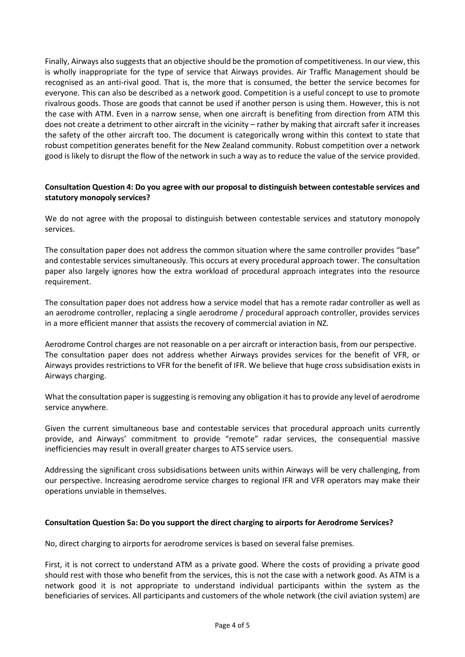Finally, Airways also suggests that an objective should be the promotion of competitiveness. In our view, this is wholly inappropriate for the type of service that Airways provides. Air Traffic Management should be recognised as an anti-rival good. That is, the more that is consumed, the better the service becomes for everyone. This can also be described as a network good. Competition is a useful concept to use to promote rivalrous goods. Those are goods that cannot be used if another person is using them. However, this is not the case with ATM. Even in a narrow sense, when one aircraft is benefiting from direction from ATM this does not create a detriment to other aircraft in the vicinity – rather by making that aircraft safer it increases the safety of the other aircraft too. The document is categorically wrong within this context to state that robust competition generates benefit for the New Zealand community. Robust competition over a network good is likely to disrupt the flow of the network in such a way as to reduce the value of the service provided.

### **Consultation Question 4: Do you agree with our proposal to distinguish between contestable services and statutory monopoly services?**

We do not agree with the proposal to distinguish between contestable services and statutory monopoly services.

The consultation paper does not address the common situation where the same controller provides "base" and contestable services simultaneously. This occurs at every procedural approach tower. The consultation paper also largely ignores how the extra workload of procedural approach integrates into the resource requirement.

The consultation paper does not address how a service model that has a remote radar controller as well as an aerodrome controller, replacing a single aerodrome / procedural approach controller, provides services in a more efficient manner that assists the recovery of commercial aviation in NZ.

Aerodrome Control charges are not reasonable on a per aircraft or interaction basis, from our perspective. The consultation paper does not address whether Airways provides services for the benefit of VFR, or Airways provides restrictions to VFR for the benefit of IFR. We believe that huge cross subsidisation exists in Airways charging.

What the consultation paper is suggesting is removing any obligation it has to provide any level of aerodrome service anywhere.

Given the current simultaneous base and contestable services that procedural approach units currently provide, and Airways' commitment to provide "remote" radar services, the consequential massive inefficiencies may result in overall greater charges to ATS service users.

Addressing the significant cross subsidisations between units within Airways will be very challenging, from our perspective. Increasing aerodrome service charges to regional IFR and VFR operators may make their operations unviable in themselves.

#### **Consultation Question 5a: Do you support the direct charging to airports for Aerodrome Services?**

No, direct charging to airports for aerodrome services is based on several false premises.

First, it is not correct to understand ATM as a private good. Where the costs of providing a private good should rest with those who benefit from the services, this is not the case with a network good. As ATM is a network good it is not appropriate to understand individual participants within the system as the beneficiaries of services. All participants and customers of the whole network (the civil aviation system) are